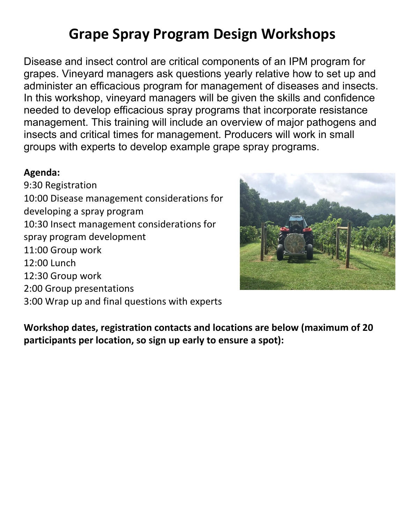## **Grape Spray Program Design Workshops**

Disease and insect control are critical components of an IPM program for grapes. Vineyard managers ask questions yearly relative how to set up and administer an efficacious program for management of diseases and insects. In this workshop, vineyard managers will be given the skills and confidence needed to develop efficacious spray programs that incorporate resistance management. This training will include an overview of major pathogens and insects and critical times for management. Producers will work in small groups with experts to develop example grape spray programs.

## **Agenda:**

9:30 Registration 10:00 Disease management considerations for developing a spray program 10:30 Insect management considerations for spray program development 11:00 Group work 12:00 Lunch 12:30 Group work 2:00 Group presentations 3:00 Wrap up and final questions with experts



**Workshop dates, registration contacts and locations are below (maximum of 20 participants per location, so sign up early to ensure a spot):**